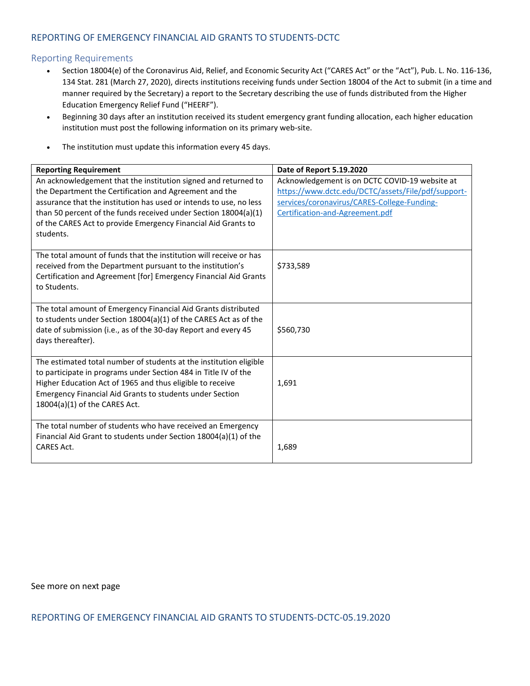## REPORTING OF EMERGENCY FINANCIAL AID GRANTS TO STUDENTS-DCTC

## Reporting Requirements

- Section 18004(e) of the Coronavirus Aid, Relief, and Economic Security Act ("CARES Act" or the "Act"), Pub. L. No. 116-136, 134 Stat. 281 (March 27, 2020), directs institutions receiving funds under Section 18004 of the Act to submit (in a time and manner required by the Secretary) a report to the Secretary describing the use of funds distributed from the Higher Education Emergency Relief Fund ("HEERF").
- Beginning 30 days after an institution received its student emergency grant funding allocation, each higher education institution must post the following information on its primary web-site.
- The institution must update this information every 45 days.

| <b>Reporting Requirement</b>                                                                                                                                                                                                                                                                                                                    | Date of Report 5.19.2020                                                                                                                                                               |
|-------------------------------------------------------------------------------------------------------------------------------------------------------------------------------------------------------------------------------------------------------------------------------------------------------------------------------------------------|----------------------------------------------------------------------------------------------------------------------------------------------------------------------------------------|
| An acknowledgement that the institution signed and returned to<br>the Department the Certification and Agreement and the<br>assurance that the institution has used or intends to use, no less<br>than 50 percent of the funds received under Section 18004(a)(1)<br>of the CARES Act to provide Emergency Financial Aid Grants to<br>students. | Acknowledgement is on DCTC COVID-19 website at<br>https://www.dctc.edu/DCTC/assets/File/pdf/support-<br>services/coronavirus/CARES-College-Funding-<br>Certification-and-Agreement.pdf |
| The total amount of funds that the institution will receive or has<br>received from the Department pursuant to the institution's<br>Certification and Agreement [for] Emergency Financial Aid Grants<br>to Students.                                                                                                                            | \$733,589                                                                                                                                                                              |
| The total amount of Emergency Financial Aid Grants distributed<br>to students under Section 18004(a)(1) of the CARES Act as of the<br>date of submission (i.e., as of the 30-day Report and every 45<br>days thereafter).                                                                                                                       | \$560,730                                                                                                                                                                              |
| The estimated total number of students at the institution eligible<br>to participate in programs under Section 484 in Title IV of the<br>Higher Education Act of 1965 and thus eligible to receive<br><b>Emergency Financial Aid Grants to students under Section</b><br>$18004(a)(1)$ of the CARES Act.                                        | 1,691                                                                                                                                                                                  |
| The total number of students who have received an Emergency<br>Financial Aid Grant to students under Section 18004(a)(1) of the<br><b>CARES Act.</b>                                                                                                                                                                                            | 1,689                                                                                                                                                                                  |

See more on next page

REPORTING OF EMERGENCY FINANCIAL AID GRANTS TO STUDENTS-DCTC-05.19.2020